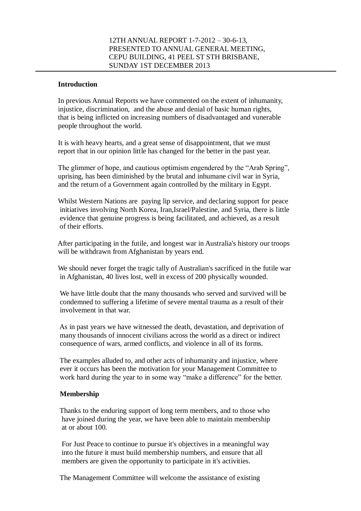### **Introduction**

 In previous Annual Reports we have commented on the extent of inhumanity, injustice, discrimination, and the abuse and denial of basic human rights, that is being inflicted on increasing numbers of disadvantaged and vunerable people throughout the world.

 It is with heavy hearts, and a great sense of disappointment, that we must report that in our opinion little has changed for the better in the past year.

 The glimmer of hope, and cautious optimism engendered by the "Arab Spring", uprising, has been diminished by the brutal and inhumane civil war in Syria, and the return of a Government again controlled by the military in Egypt.

 Whilst Western Nations are paying lip service, and declaring support for peace initiatives involving North Korea, Iran,Israel/Palestine, and Syria, there is little evidence that genuine progress is being facilitated, and achieved, as a result of their efforts.

 After participating in the futile, and longest war in Australia's history our troops will be withdrawn from Afghanistan by years end.

 We should never forget the tragic tally of Australian's sacrificed in the futile war in Afghanistan, 40 lives lost, well in excess of 200 physically wounded.

 We have little doubt that the many thousands who served and survived will be condemned to suffering a lifetime of severe mental trauma as a result of their involvement in that war.

 As in past years we have witnessed the death, devastation, and deprivation of many thousands of innocent civilians across the world as a direct or indirect consequence of wars, armed conflicts, and violence in all of its forms.

 The examples alluded to, and other acts of inhumanity and injustice, where ever it occurs has been the motivation for your Management Committee to work hard during the year to in some way "make a difference" for the better.

## **Membership**

 Thanks to the enduring support of long term members, and to those who have joined during the year, we have been able to maintain membership at or about 100.

 For Just Peace to continue to pursue it's objectives in a meaningful way into the future it must build membership numbers, and ensure that all members are given the opportunity to participate in it's activities.

The Management Committee will welcome the assistance of existing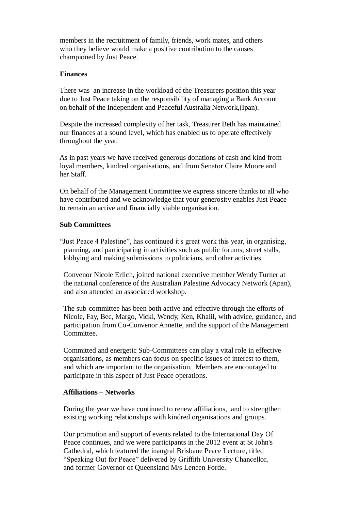members in the recruitment of family, friends, work mates, and others who they believe would make a positive contribution to the causes championed by Just Peace.

## **Finances**

 There was an increase in the workload of the Treasurers position this year due to Just Peace taking on the responsibility of managing a Bank Account on behalf of the Independent and Peaceful Australia Network,(Ipan).

 Despite the increased complexity of her task, Treasurer Beth has maintained our finances at a sound level, which has enabled us to operate effectively throughout the year.

 As in past years we have received generous donations of cash and kind from loyal members, kindred organisations, and from Senator Claire Moore and her Staff.

 On behalf of the Management Committee we express sincere thanks to all who have contributed and we acknowledge that your generosity enables Just Peace to remain an active and financially viable organisation.

## **Sub Committees**

 "Just Peace 4 Palestine", has continued it's great work this year, in organising, planning, and participating in activities such as public forums, street stalls, lobbying and making submissions to politicians, and other activities.

 Convenor Nicole Erlich, joined national executive member Wendy Turner at the national conference of the Australian Palestine Advocacy Network (Apan), and also attended an associated workshop.

 The sub-committee has been both active and effective through the efforts of Nicole, Fay, Bec, Margo, Vicki, Wendy, Ken, Khalil, with advice, guidance, and participation from Co-Convenor Annette, and the support of the Management Committee.

 Committed and energetic Sub-Committees can play a vital role in effective organisations, as members can focus on specific issues of interest to them, and which are important to the organisation. Members are encouraged to participate in this aspect of Just Peace operations.

## **Affiliations – Networks**

 During the year we have continued to renew affiliations, and to strengthen existing working relationships with kindred organisations and groups.

 Our promotion and support of events related to the International Day Of Peace continues, and we were participants in the 2012 event at St John's Cathedral, which featured the inaugral Brisbane Peace Lecture, titled "Speaking Out for Peace" delivered by Griffith University Chancellor, and former Governor of Queensland M/s Leneen Forde.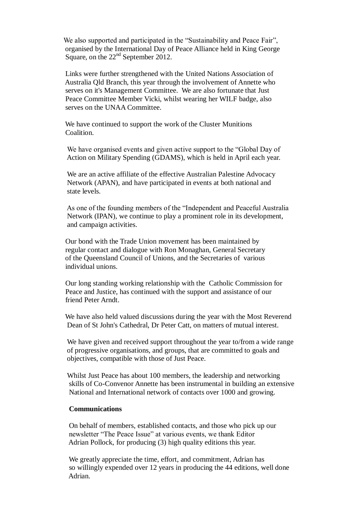We also supported and participated in the "Sustainability and Peace Fair", organised by the International Day of Peace Alliance held in King George Square, on the 22<sup>nd</sup> September 2012.

 Links were further strengthened with the United Nations Association of Australia Qld Branch, this year through the involvement of Annette who serves on it's Management Committee. We are also fortunate that Just Peace Committee Member Vicki, whilst wearing her WILF badge, also serves on the UNAA Committee.

 We have continued to support the work of the Cluster Munitions Coalition.

 We have organised events and given active support to the "Global Day of Action on Military Spending (GDAMS), which is held in April each year.

 We are an active affiliate of the effective Australian Palestine Advocacy Network (APAN), and have participated in events at both national and state levels.

 As one of the founding members of the "Independent and Peaceful Australia Network (IPAN), we continue to play a prominent role in its development, and campaign activities.

 Our bond with the Trade Union movement has been maintained by regular contact and dialogue with Ron Monaghan, General Secretary of the Queensland Council of Unions, and the Secretaries of various individual unions.

 Our long standing working relationship with the Catholic Commission for Peace and Justice, has continued with the support and assistance of our friend Peter Arndt.

We have also held valued discussions during the year with the Most Reverend Dean of St John's Cathedral, Dr Peter Catt, on matters of mutual interest.

 We have given and received support throughout the year to/from a wide range of progressive organisations, and groups, that are committed to goals and objectives, compatible with those of Just Peace.

 Whilst Just Peace has about 100 members, the leadership and networking skills of Co-Convenor Annette has been instrumental in building an extensive National and International network of contacts over 1000 and growing.

## **Communications**

 On behalf of members, established contacts, and those who pick up our newsletter "The Peace Issue" at various events, we thank Editor Adrian Pollock, for producing (3) high quality editions this year.

 We greatly appreciate the time, effort, and commitment, Adrian has so willingly expended over 12 years in producing the 44 editions, well done Adrian.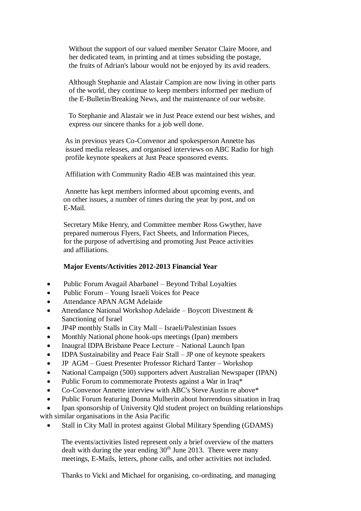Without the support of our valued member Senator Claire Moore, and her dedicated team, in printing and at times subsiding the postage, the fruits of Adrian's labour would not be enjoyed by its avid readers.

 Although Stephanie and Alastair Campion are now living in other parts of the world, they continue to keep members informed per medium of the E-Bulletin/Breaking News, and the maintenance of our website.

 To Stephanie and Alastair we in Just Peace extend our best wishes, and express our sincere thanks for a job well done.

 As in previous years Co-Convenor and spokesperson Annette has issued media releases, and organised interviews on ABC Radio for high profile keynote speakers at Just Peace sponsored events.

Affiliation with Community Radio 4EB was maintained this year.

 Annette has kept members informed about upcoming events, and on other issues, a number of times during the year by post, and on E-Mail.

 Secretary Mike Henry, and Committee member Ross Gwyther, have prepared numerous Flyers, Fact Sheets, and Information Pieces, for the purpose of advertising and promoting Just Peace activities and affiliations.

#### **Major Events/Activities 2012-2013 Financial Year**

- Public Forum Avagail Abarbanel Beyond Tribal Loyalties
- Public Forum Young Israeli Voices for Peace
- Attendance APAN AGM Adelaide
- Attendance National Workshop Adelaide Boycott Divestment & Sanctioning of Israel
- JP4P monthly Stalls in City Mall Israeli/Palestinian Issues
- Monthly National phone hook-ups meetings (Ipan) members
- Inaugral IDPA Brisbane Peace Lecture National Launch Ipan
- IDPA Sustainability and Peace Fair Stall JP one of keynote speakers
- JP AGM Guest Presenter Professor Richard Tanter Workshop
- National Campaign (500) supporters advert Australian Newspaper (IPAN)
- Public Forum to commemorate Protests against a War in Iraq\*
- Co-Convenor Annette interview with ABC's Steve Austin re above\*
- Public Forum featuring Donna Mulherin about horrendous situation in Iraq

 Ipan sponsorship of University Qld student project on building relationships with similar organisations in the Asia Pacific

Stall in City Mall in protest against Global Military Spending (GDAMS)

 The events/activities listed represent only a brief overview of the matters dealt with during the year ending  $30<sup>th</sup>$  June 2013. There were many meetings, E-Mails, letters, phone calls, and other activities not included.

Thanks to Vicki and Michael for organising, co-ordinating, and managing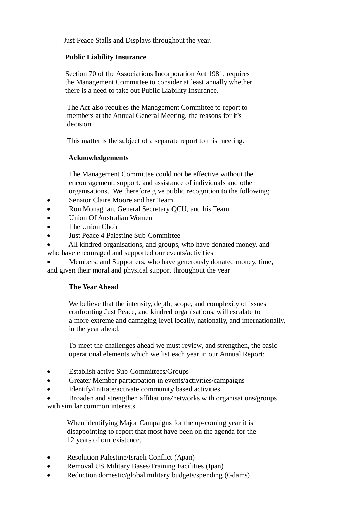Just Peace Stalls and Displays throughout the year.

## **Public Liability Insurance**

 Section 70 of the Associations Incorporation Act 1981, requires the Management Committee to consider at least anually whether there is a need to take out Public Liability Insurance.

 The Act also requires the Management Committee to report to members at the Annual General Meeting, the reasons for it's decision.

This matter is the subject of a separate report to this meeting.

# **Acknowledgements**

 The Management Committee could not be effective without the encouragement, support, and assistance of individuals and other organisations. We therefore give public recognition to the following;

- Senator Claire Moore and her Team
- Ron Monaghan, General Secretary QCU, and his Team
- Union Of Australian Women
- The Union Choir
- Just Peace 4 Palestine Sub-Committee
- All kindred organisations, and groups, who have donated money, and

who have encouraged and supported our events/activities

 Members, and Supporters, who have generously donated money, time, and given their moral and physical support throughout the year

# **The Year Ahead**

 We believe that the intensity, depth, scope, and complexity of issues confronting Just Peace, and kindred organisations, will escalate to a more extreme and damaging level locally, nationally, and internationally, in the year ahead.

 To meet the challenges ahead we must review, and strengthen, the basic operational elements which we list each year in our Annual Report;

- Establish active Sub-Committees/Groups
- Greater Member participation in events/activities/campaigns
- Identify/Initiate/activate community based activities

 Broaden and strengthen affiliations/networks with organisations/groups with similar common interests

 When identifying Major Campaigns for the up-coming year it is disappointing to report that most have been on the agenda for the 12 years of our existence.

- Resolution Palestine/Israeli Conflict (Apan)
- Removal US Military Bases/Training Facilities (Ipan)
- Reduction domestic/global military budgets/spending (Gdams)